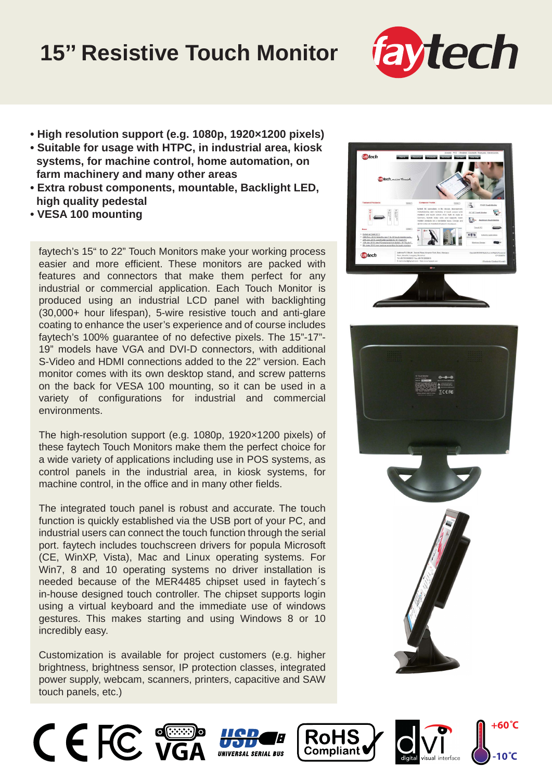## **15'' Resistive Touch Monitor**



- **High resolution support (e.g. 1080p, 1920×1200 pixels)**
- **Suitable for usage with HTPC, in industrial area, kiosk systems, for machine control, home automation, on farm machinery and many other areas**
- **Extra robust components, mountable, Backlight LED, high quality pedestal**
- **VESA 100 mounting**

faytech's 15" to 22" Touch Monitors make your working process easier and more efficient. These monitors are packed with features and connectors that make them perfect for any industrial or commercial application. Each Touch Monitor is produced using an industrial LCD panel with backlighting (30,000+ hour lifespan), 5-wire resistive touch and anti-glare coating to enhance the user's experience and of course includes faytech's 100% guarantee of no defective pixels. The 15"-17"- 19" models have VGA and DVI-D connectors, with additional S-Video and HDMI connections added to the 22" version. Each monitor comes with its own desktop stand, and screw patterns on the back for VESA 100 mounting, so it can be used in a variety of configurations for industrial and commercial environments.

The high-resolution support (e.g. 1080p, 1920×1200 pixels) of these faytech Touch Monitors make them the perfect choice for a wide variety of applications including use in POS systems, as control panels in the industrial area, in kiosk systems, for machine control, in the office and in many other fields.

The integrated touch panel is robust and accurate. The touch function is quickly established via the USB port of your PC, and industrial users can connect the touch function through the serial port. faytech includes touchscreen drivers for popula Microsoft (CE, WinXP, Vista), Mac and Linux operating systems. For Win7, 8 and 10 operating systems no driver installation is needed because of the MER4485 chipset used in faytech´s in-house designed touch controller. The chipset supports login using a virtual keyboard and the immediate use of windows gestures. This makes starting and using Windows 8 or 10 incredibly easy.

Customization is available for project customers (e.g. higher brightness, brightness sensor, IP protection classes, integrated power supply, webcam, scanners, printers, capacitive and SAW touch panels, etc.)













**+60˚C**

**-10˚C**